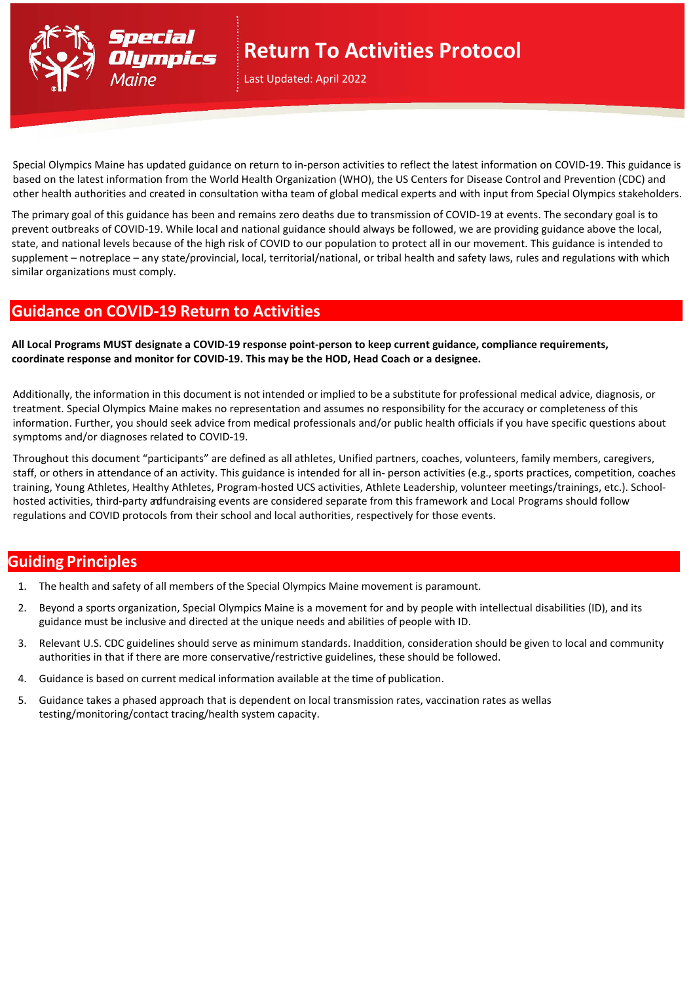

# **Return To Activities Protocol**

Last Updated: April 2022

Special Olympics Maine has updated guidance on return to in-person activities to reflect the latest information on COVID-19. This guidance is based on the latest information from the World Health Organization (WHO), the US Centers for Disease Control and Prevention (CDC) and other health authorities and created in consultation witha team of global medical experts and with input from Special Olympics stakeholders.

The primary goal of this guidance has been and remains zero deaths due to transmission of COVID-19 at events. The secondary goal is to prevent outbreaks of COVID-19. While local and national guidance should always be followed, we are providing guidance above the local, state, and national levels because of the high risk of COVID to our population to protect all in our movement. This guidance is intended to supplement – notreplace – any state/provincial, local, territorial/national, or tribal health and safety laws, rules and regulations with which similar organizations must comply.

### **Guidance on COVID-19 Return to Activities**

**All Local Programs MUST designate a COVID-19 response point-person to keep current guidance, compliance requirements, coordinate response and monitor for COVID-19. This may be the HOD, Head Coach or a designee.**

Additionally, the information in this document is not intended or implied to be a substitute for professional medical advice, diagnosis, or treatment. Special Olympics Maine makes no representation and assumes no responsibility for the accuracy or completeness of this information. Further, you should seek advice from medical professionals and/or public health officials if you have specific questions about symptoms and/or diagnoses related to COVID-19.

Throughout this document "participants" are defined as all athletes, Unified partners, coaches, volunteers, family members, caregivers, staff, or others in attendance of an activity. This guidance is intended for all in- person activities (e.g., sports practices, competition, coaches training, Young Athletes, Healthy Athletes, Program-hosted UCS activities, Athlete Leadership, volunteer meetings/trainings, etc.). Schoolhosted activities, third-party adfundraising events are considered separate from this framework and Local Programs should follow regulations and COVID protocols from their school and local authorities, respectively for those events.

## **Guiding Principles**

- 1. The health and safety of all members of the Special Olympics Maine movement is paramount.
- 2. Beyond a sports organization, Special Olympics Maine is a movement for and by people with intellectual disabilities (ID), and its guidance must be inclusive and directed at the unique needs and abilities of people with ID.
- 3. Relevant U.S. CDC guidelines should serve as minimum standards. Inaddition, consideration should be given to local and community authorities in that if there are more conservative/restrictive guidelines, these should be followed.
- 4. Guidance is based on current medical information available at the time of publication.
- 5. Guidance takes a phased approach that is dependent on local transmission rates, vaccination rates as wellas testing/monitoring/contact tracing/health system capacity.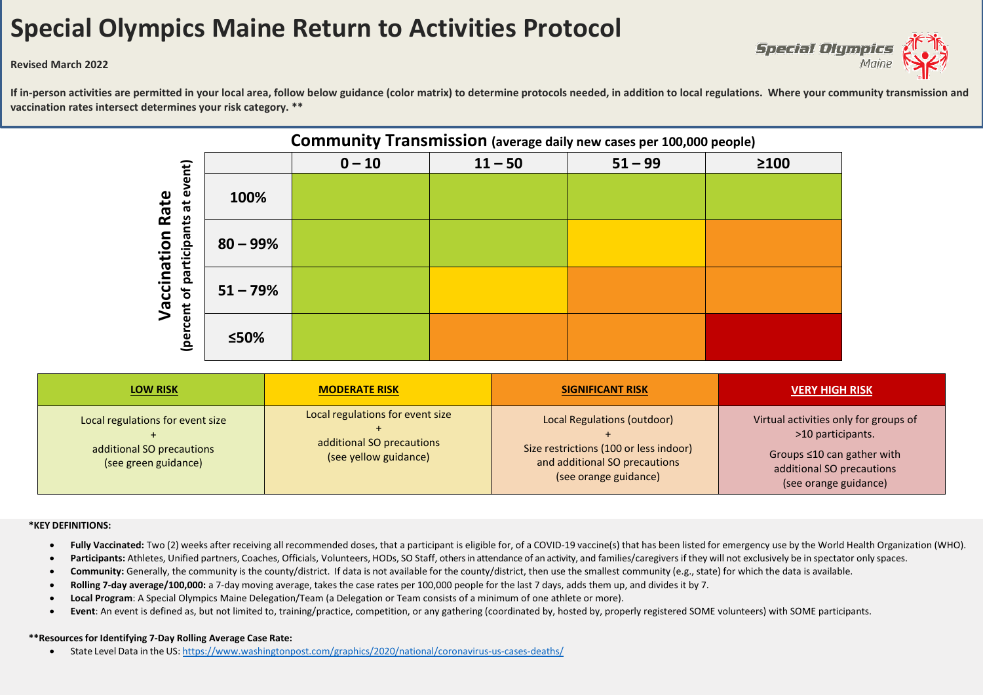# **Special Olympics Maine Return to Activities Protocol**



#### **Revised March 2022**

If in-person activities are permitted in your local area, follow below guidance (color matrix) to determine protocols needed, in addition to local regulations. Where your community transmission and **vaccination rates intersect determines your risk category. \*\***



| <b>LOW RISK</b>                                                                       | <b>MODERATE RISK</b>                                                                   | <b>SIGNIFICANT RISK</b>                                                                                                         | <b>VERY HIGH RISK</b>                                                                                                                                |
|---------------------------------------------------------------------------------------|----------------------------------------------------------------------------------------|---------------------------------------------------------------------------------------------------------------------------------|------------------------------------------------------------------------------------------------------------------------------------------------------|
| Local regulations for event size<br>additional SO precautions<br>(see green guidance) | Local regulations for event size<br>additional SO precautions<br>(see yellow guidance) | Local Regulations (outdoor)<br>Size restrictions (100 or less indoor)<br>and additional SO precautions<br>(see orange guidance) | Virtual activities only for groups of<br>>10 participants.<br>Groups $\leq 10$ can gather with<br>additional SO precautions<br>(see orange guidance) |

#### **\*KEY DEFINITIONS:**

- Fully Vaccinated: Two (2) weeks after receiving all recommended doses, that a participant is eligible for, of a COVID-19 vaccine(s) that has been listed for emergency use by the World Health Organization (WHO).
- **Participants:** Athletes, Unified partners, Coaches, Officials, Volunteers, HODs, SO Staff, others in attendance of an activity, and families/caregiversif they will not exclusively be in spectator only spaces.
- Community: Generally, the community is the county/district. If data is not available for the county/district, then use the smallest community (e.g., state) for which the data is available.
- **Rolling 7-day average/100,000:** a 7-day moving average, takes the case rates per 100,000 people for the last 7 days, adds them up, and divides it by 7.
- **Local Program**: A Special Olympics Maine Delegation/Team (a Delegation or Team consists of a minimum of one athlete or more).
- **Event**: An event is defined as, but not limited to, training/practice, competition, or any gathering (coordinated by, hosted by, properly registered SOME volunteers) with SOME participants.

#### **\*\*Resourcesfor Identifying 7-Day Rolling Average Case Rate:**

• State Level Data in the US: <https://www.washingtonpost.com/graphics/2020/national/coronavirus-us-cases-deaths/>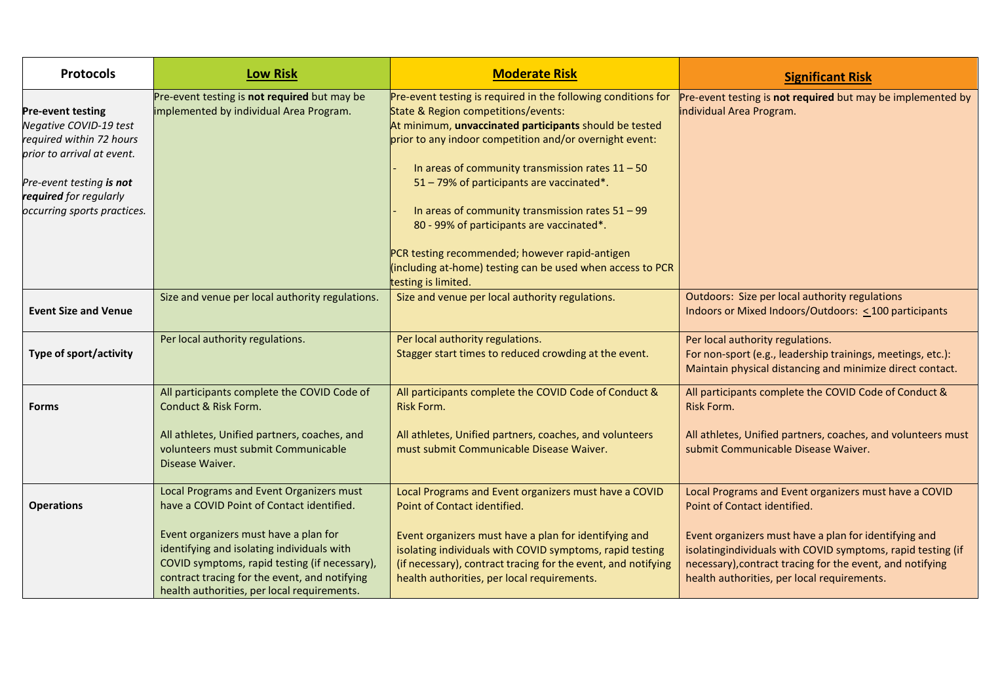| <b>Protocols</b>                                                                                                                                                                                  | <b>Low Risk</b>                                                                                                                                                                                                                                                                                                               | <b>Moderate Risk</b>                                                                                                                                                                                                                                                                                                                                                                                                                                                                                                                                                   | <b>Significant Risk</b>                                                                                                                                                                                                                                                                                                   |
|---------------------------------------------------------------------------------------------------------------------------------------------------------------------------------------------------|-------------------------------------------------------------------------------------------------------------------------------------------------------------------------------------------------------------------------------------------------------------------------------------------------------------------------------|------------------------------------------------------------------------------------------------------------------------------------------------------------------------------------------------------------------------------------------------------------------------------------------------------------------------------------------------------------------------------------------------------------------------------------------------------------------------------------------------------------------------------------------------------------------------|---------------------------------------------------------------------------------------------------------------------------------------------------------------------------------------------------------------------------------------------------------------------------------------------------------------------------|
| <b>Pre-event testing</b><br>Negative COVID-19 test<br>required within 72 hours<br>prior to arrival at event.<br>Pre-event testing is not<br>required for regularly<br>occurring sports practices. | Pre-event testing is not required but may be<br>implemented by individual Area Program.                                                                                                                                                                                                                                       | Pre-event testing is required in the following conditions for<br>State & Region competitions/events:<br>At minimum, unvaccinated participants should be tested<br>prior to any indoor competition and/or overnight event:<br>In areas of community transmission rates $11 - 50$<br>51 - 79% of participants are vaccinated*.<br>In areas of community transmission rates $51 - 99$<br>80 - 99% of participants are vaccinated*.<br>PCR testing recommended; however rapid-antigen<br>(including at-home) testing can be used when access to PCR<br>testing is limited. | Pre-event testing is not required but may be implemented by<br>individual Area Program.                                                                                                                                                                                                                                   |
| <b>Event Size and Venue</b>                                                                                                                                                                       | Size and venue per local authority regulations.                                                                                                                                                                                                                                                                               | Size and venue per local authority regulations.                                                                                                                                                                                                                                                                                                                                                                                                                                                                                                                        | Outdoors: Size per local authority regulations<br>Indoors or Mixed Indoors/Outdoors: <100 participants                                                                                                                                                                                                                    |
| Type of sport/activity                                                                                                                                                                            | Per local authority regulations.                                                                                                                                                                                                                                                                                              | Per local authority regulations.<br>Stagger start times to reduced crowding at the event.                                                                                                                                                                                                                                                                                                                                                                                                                                                                              | Per local authority regulations.<br>For non-sport (e.g., leadership trainings, meetings, etc.):<br>Maintain physical distancing and minimize direct contact.                                                                                                                                                              |
| <b>Forms</b>                                                                                                                                                                                      | All participants complete the COVID Code of<br>Conduct & Risk Form.<br>All athletes, Unified partners, coaches, and<br>volunteers must submit Communicable<br>Disease Waiver.                                                                                                                                                 | All participants complete the COVID Code of Conduct &<br><b>Risk Form.</b><br>All athletes, Unified partners, coaches, and volunteers<br>must submit Communicable Disease Waiver.                                                                                                                                                                                                                                                                                                                                                                                      | All participants complete the COVID Code of Conduct &<br>Risk Form.<br>All athletes, Unified partners, coaches, and volunteers must<br>submit Communicable Disease Waiver.                                                                                                                                                |
| <b>Operations</b>                                                                                                                                                                                 | Local Programs and Event Organizers must<br>have a COVID Point of Contact identified.<br>Event organizers must have a plan for<br>identifying and isolating individuals with<br>COVID symptoms, rapid testing (if necessary),<br>contract tracing for the event, and notifying<br>health authorities, per local requirements. | Local Programs and Event organizers must have a COVID<br>Point of Contact identified.<br>Event organizers must have a plan for identifying and<br>isolating individuals with COVID symptoms, rapid testing<br>(if necessary), contract tracing for the event, and notifying<br>health authorities, per local requirements.                                                                                                                                                                                                                                             | Local Programs and Event organizers must have a COVID<br>Point of Contact identified.<br>Event organizers must have a plan for identifying and<br>isolatingindividuals with COVID symptoms, rapid testing (if<br>necessary), contract tracing for the event, and notifying<br>health authorities, per local requirements. |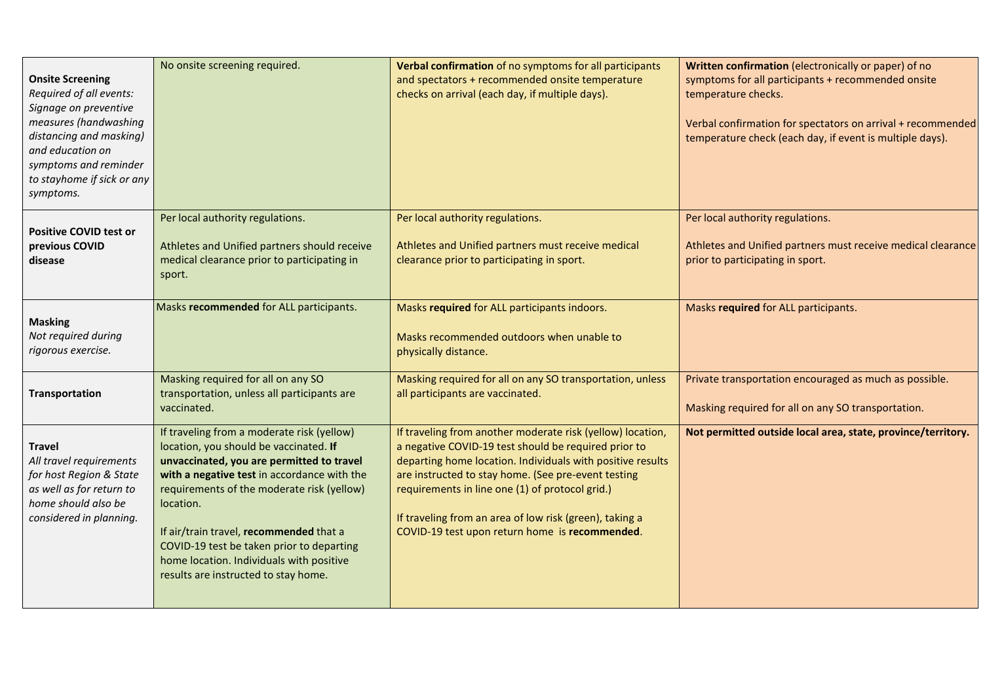| <b>Onsite Screening</b><br>Required of all events:<br>Signage on preventive<br>measures (handwashing<br>distancing and masking)<br>and education on<br>symptoms and reminder<br>to stayhome if sick or any<br>symptoms. | No onsite screening required.                                                                                                                                                                                                                                                                                                                                                                                           | Verbal confirmation of no symptoms for all participants<br>and spectators + recommended onsite temperature<br>checks on arrival (each day, if multiple days).                                                                                                                                                                                                                                           | Written confirmation (electronically or paper) of no<br>symptoms for all participants + recommended onsite<br>temperature checks.<br>Verbal confirmation for spectators on arrival + recommended<br>temperature check (each day, if event is multiple days). |
|-------------------------------------------------------------------------------------------------------------------------------------------------------------------------------------------------------------------------|-------------------------------------------------------------------------------------------------------------------------------------------------------------------------------------------------------------------------------------------------------------------------------------------------------------------------------------------------------------------------------------------------------------------------|---------------------------------------------------------------------------------------------------------------------------------------------------------------------------------------------------------------------------------------------------------------------------------------------------------------------------------------------------------------------------------------------------------|--------------------------------------------------------------------------------------------------------------------------------------------------------------------------------------------------------------------------------------------------------------|
| <b>Positive COVID test or</b><br>previous COVID<br>disease                                                                                                                                                              | Per local authority regulations.<br>Athletes and Unified partners should receive<br>medical clearance prior to participating in<br>sport.                                                                                                                                                                                                                                                                               | Per local authority regulations.<br>Athletes and Unified partners must receive medical<br>clearance prior to participating in sport.                                                                                                                                                                                                                                                                    | Per local authority regulations.<br>Athletes and Unified partners must receive medical clearance<br>prior to participating in sport.                                                                                                                         |
| <b>Masking</b><br>Not required during<br>rigorous exercise.                                                                                                                                                             | Masks recommended for ALL participants.                                                                                                                                                                                                                                                                                                                                                                                 | Masks required for ALL participants indoors.<br>Masks recommended outdoors when unable to<br>physically distance.                                                                                                                                                                                                                                                                                       | Masks required for ALL participants.                                                                                                                                                                                                                         |
| Transportation                                                                                                                                                                                                          | Masking required for all on any SO<br>transportation, unless all participants are<br>vaccinated.                                                                                                                                                                                                                                                                                                                        | Masking required for all on any SO transportation, unless<br>all participants are vaccinated.                                                                                                                                                                                                                                                                                                           | Private transportation encouraged as much as possible.<br>Masking required for all on any SO transportation.                                                                                                                                                 |
| <b>Travel</b><br>All travel requirements<br>for host Region & State<br>as well as for return to<br>home should also be<br>considered in planning.                                                                       | If traveling from a moderate risk (yellow)<br>location, you should be vaccinated. If<br>unvaccinated, you are permitted to travel<br>with a negative test in accordance with the<br>requirements of the moderate risk (yellow)<br>location.<br>If air/train travel, recommended that a<br>COVID-19 test be taken prior to departing<br>home location. Individuals with positive<br>results are instructed to stay home. | If traveling from another moderate risk (yellow) location,<br>a negative COVID-19 test should be required prior to<br>departing home location. Individuals with positive results<br>are instructed to stay home. (See pre-event testing<br>requirements in line one (1) of protocol grid.)<br>If traveling from an area of low risk (green), taking a<br>COVID-19 test upon return home is recommended. | Not permitted outside local area, state, province/territory.                                                                                                                                                                                                 |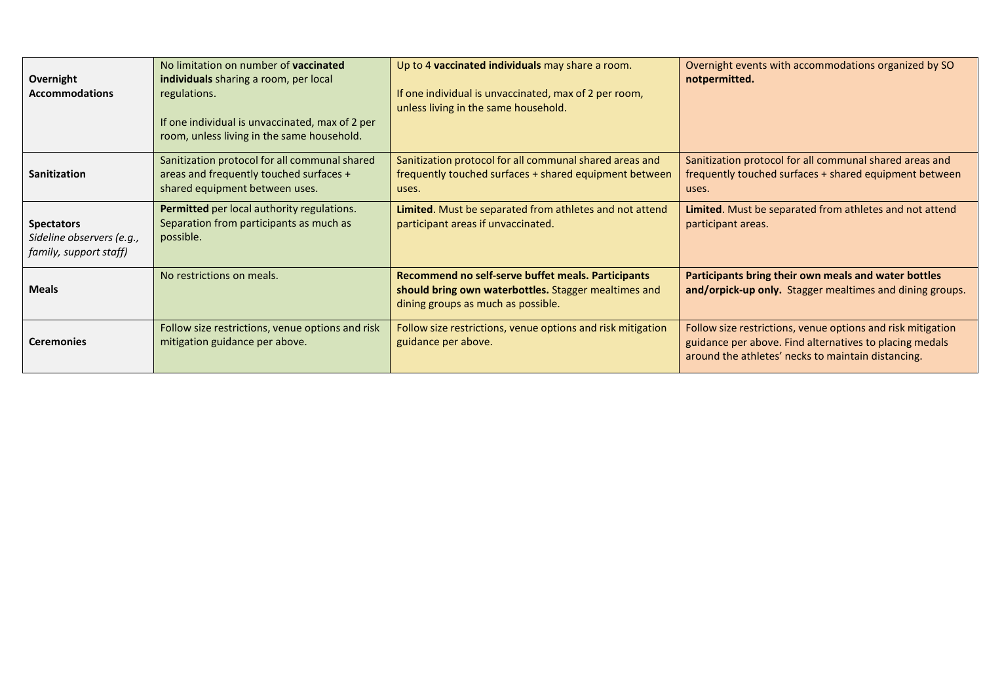| Overnight<br><b>Accommodations</b>                                       | No limitation on number of vaccinated<br>individuals sharing a room, per local<br>regulations.<br>If one individual is unvaccinated, max of 2 per<br>room, unless living in the same household. | Up to 4 vaccinated individuals may share a room.<br>If one individual is unvaccinated, max of 2 per room,<br>unless living in the same household. | Overnight events with accommodations organized by SO<br>notpermitted.                                                                                                        |
|--------------------------------------------------------------------------|-------------------------------------------------------------------------------------------------------------------------------------------------------------------------------------------------|---------------------------------------------------------------------------------------------------------------------------------------------------|------------------------------------------------------------------------------------------------------------------------------------------------------------------------------|
| Sanitization                                                             | Sanitization protocol for all communal shared<br>areas and frequently touched surfaces +<br>shared equipment between uses.                                                                      | Sanitization protocol for all communal shared areas and<br>frequently touched surfaces + shared equipment between<br>uses.                        | Sanitization protocol for all communal shared areas and<br>frequently touched surfaces + shared equipment between<br>uses.                                                   |
| <b>Spectators</b><br>Sideline observers (e.g.,<br>family, support staff) | Permitted per local authority regulations.<br>Separation from participants as much as<br>possible.                                                                                              | Limited. Must be separated from athletes and not attend<br>participant areas if unvaccinated.                                                     | Limited. Must be separated from athletes and not attend<br>participant areas.                                                                                                |
| <b>Meals</b>                                                             | No restrictions on meals.                                                                                                                                                                       | Recommend no self-serve buffet meals. Participants<br>should bring own waterbottles. Stagger mealtimes and<br>dining groups as much as possible.  | Participants bring their own meals and water bottles<br>and/orpick-up only. Stagger mealtimes and dining groups.                                                             |
| <b>Ceremonies</b>                                                        | Follow size restrictions, venue options and risk<br>mitigation guidance per above.                                                                                                              | Follow size restrictions, venue options and risk mitigation<br>guidance per above.                                                                | Follow size restrictions, venue options and risk mitigation<br>guidance per above. Find alternatives to placing medals<br>around the athletes' necks to maintain distancing. |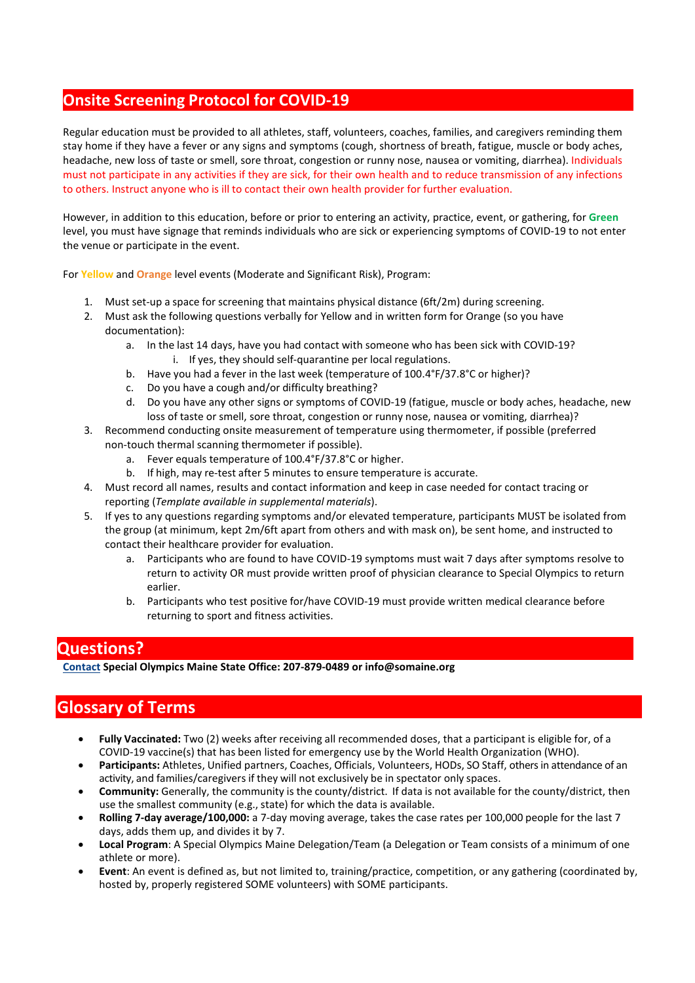### **Onsite Screening Protocol for COVID-19**

Regular education must be provided to all athletes, staff, volunteers, coaches, families, and caregivers reminding them stay home if they have a fever or any signs and symptoms (cough, shortness of breath, fatigue, muscle or body aches, headache, new loss of taste or smell, sore throat, congestion or runny nose, nausea or vomiting, diarrhea). Individuals must not participate in any activities if they are sick, for their own health and to reduce transmission of any infections to others. Instruct anyone who is ill to contact their own health provider for further evaluation.

However, in addition to this education, before or prior to entering an activity, practice, event, or gathering, for **Green** level, you must have signage that reminds individuals who are sick or experiencing symptoms of COVID-19 to not enter the venue or participate in the event.

For **Yellow** and **Orange** level events (Moderate and Significant Risk), Program:

- 1. Must set-up a space for screening that maintains physical distance (6ft/2m) during screening.
- 2. Must ask the following questions verbally for Yellow and in written form for Orange (so you have documentation):
	- a. In the last 14 days, have you had contact with someone who has been sick with COVID-19? i. If yes, they should self-quarantine per local regulations.
	- b. Have you had a fever in the last week (temperature of 100.4°F/37.8°C or higher)?
	- c. Do you have a cough and/or difficulty breathing?
	- d. Do you have any other signs or symptoms of COVID-19 (fatigue, muscle or body aches, headache, new loss of taste or smell, sore throat, congestion or runny nose, nausea or vomiting, diarrhea)?
- 3. Recommend conducting onsite measurement of temperature using thermometer, if possible (preferred non-touch thermal scanning thermometer if possible).
	- a. Fever equals temperature of 100.4°F/37.8°C or higher.
	- b. If high, may re-test after 5 minutes to ensure temperature is accurate.
- 4. Must record all names, results and contact information and keep in case needed for contact tracing or reporting (*Template available in supplemental materials*).
- 5. If yes to any questions regarding symptoms and/or elevated temperature, participants MUST be isolated from the group (at minimum, kept 2m/6ft apart from others and with mask on), be sent home, and instructed to contact their healthcare provider for evaluation.
	- a. Participants who are found to have COVID-19 symptoms must wait 7 days after symptoms resolve to return to activity OR must provide written proof of physician clearance to Special Olympics to return earlier.
	- b. Participants who test positive for/have COVID-19 must provide written medical clearance before returning to sport and fitness activities.

**Questions? [Contact](mailto:Contact) Special Olympics Maine State Office: 207-879-0489 or info@somaine.org**

# **Glossary of Terms**

- **Fully Vaccinated:** Two (2) weeks after receiving all recommended doses, that a participant is eligible for, of a COVID-19 vaccine(s) that has been listed for emergency use by the World Health Organization (WHO).
- **Participants:** Athletes, Unified partners, Coaches, Officials, Volunteers, HODs, SO Staff, others in attendance of an activity, and families/caregivers if they will not exclusively be in spectator only spaces.
- **Community:** Generally, the community is the county/district. If data is not available for the county/district, then use the smallest community (e.g., state) for which the data is available.
- **Rolling 7-day average/100,000:** a 7-day moving average, takes the case rates per 100,000 people for the last 7 days, adds them up, and divides it by 7.
- **Local Program**: A Special Olympics Maine Delegation/Team (a Delegation or Team consists of a minimum of one athlete or more).
- **Event**: An event is defined as, but not limited to, training/practice, competition, or any gathering (coordinated by, hosted by, properly registered SOME volunteers) with SOME participants.